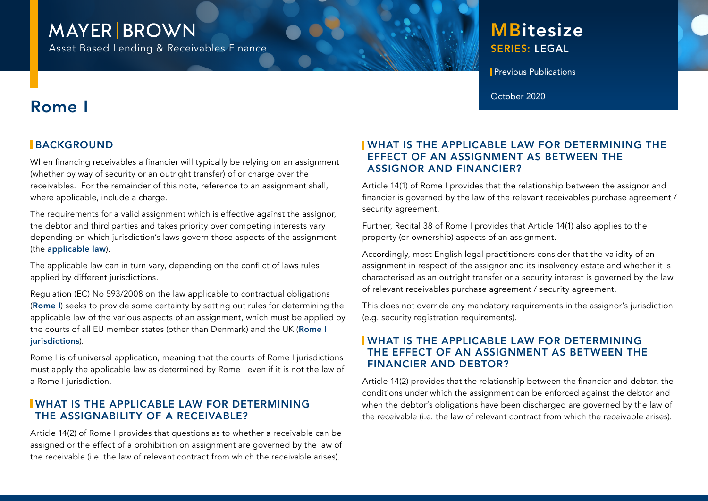# **MAYER BROWN**

Asset Based Lending & Receivables Finance

# SERIES: LEGAL **MBitesize**

**Previous Publications** 

October 2020

# Rome I

# **BACKGROUND**

When financing receivables a financier will typically be relying on an assignment (whether by way of security or an outright transfer) of or charge over the receivables. For the remainder of this note, reference to an assignment shall, where applicable, include a charge.

The requirements for a valid assignment which is effective against the assignor, the debtor and third parties and takes priority over competing interests vary depending on which jurisdiction's laws govern those aspects of the assignment (the applicable law).

The applicable law can in turn vary, depending on the conflict of laws rules applied by different jurisdictions.

Regulation (EC) No 593/2008 on the law applicable to contractual obligations (Rome I) seeks to provide some certainty by setting out rules for determining the applicable law of the various aspects of an assignment, which must be applied by the courts of all EU member states (other than Denmark) and the UK (Rome I jurisdictions).

Rome I is of universal application, meaning that the courts of Rome I jurisdictions must apply the applicable law as determined by Rome I even if it is not the law of a Rome I jurisdiction.

### WHAT IS THE APPLICABLE LAW FOR DETERMINING THE ASSIGNABILITY OF A RECEIVABLE?

Article 14(2) of Rome I provides that questions as to whether a receivable can be assigned or the effect of a prohibition on assignment are governed by the law of the receivable (i.e. the law of relevant contract from which the receivable arises).

## WHAT IS THE APPLICABLE LAW FOR DETERMINING THE EFFECT OF AN ASSIGNMENT AS BETWEEN THE ASSIGNOR AND FINANCIER?

Article 14(1) of Rome I provides that the relationship between the assignor and financier is governed by the law of the relevant receivables purchase agreement / security agreement.

Further, Recital 38 of Rome I provides that Article 14(1) also applies to the property (or ownership) aspects of an assignment.

Accordingly, most English legal practitioners consider that the validity of an assignment in respect of the assignor and its insolvency estate and whether it is characterised as an outright transfer or a security interest is governed by the law of relevant receivables purchase agreement / security agreement.

This does not override any mandatory requirements in the assignor's jurisdiction (e.g. security registration requirements).

### WHAT IS THE APPLICABLE LAW FOR DETERMINING THE EFFECT OF AN ASSIGNMENT AS BETWEEN THE FINANCIER AND DEBTOR?

Article 14(2) provides that the relationship between the financier and debtor, the conditions under which the assignment can be enforced against the debtor and when the debtor's obligations have been discharged are governed by the law of the receivable (i.e. the law of relevant contract from which the receivable arises).